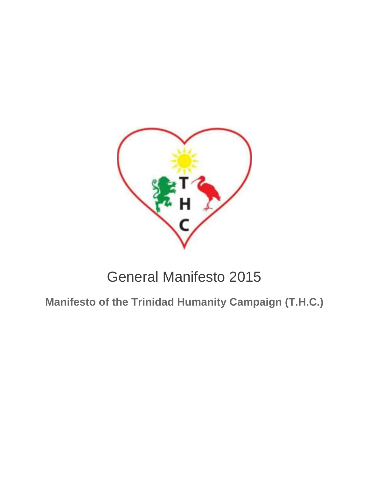

# General Manifesto 2015

**Manifesto of the Trinidad Humanity Campaign (T.H.C.)**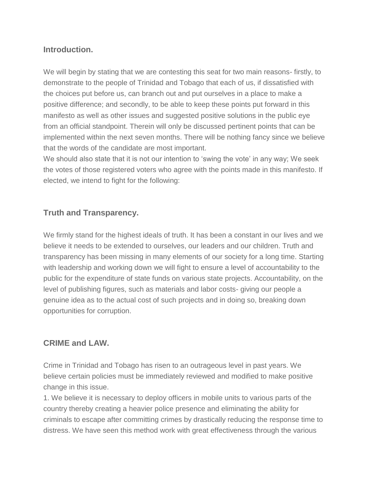## **Introduction.**

We will begin by stating that we are contesting this seat for two main reasons- firstly, to demonstrate to the people of Trinidad and Tobago that each of us, if dissatisfied with the choices put before us, can branch out and put ourselves in a place to make a positive difference; and secondly, to be able to keep these points put forward in this manifesto as well as other issues and suggested positive solutions in the public eye from an official standpoint. Therein will only be discussed pertinent points that can be implemented within the next seven months. There will be nothing fancy since we believe that the words of the candidate are most important.

We should also state that it is not our intention to 'swing the vote' in any way; We seek the votes of those registered voters who agree with the points made in this manifesto. If elected, we intend to fight for the following:

### **Truth and Transparency.**

We firmly stand for the highest ideals of truth. It has been a constant in our lives and we believe it needs to be extended to ourselves, our leaders and our children. Truth and transparency has been missing in many elements of our society for a long time. Starting with leadership and working down we will fight to ensure a level of accountability to the public for the expenditure of state funds on various state projects. Accountability, on the level of publishing figures, such as materials and labor costs- giving our people a genuine idea as to the actual cost of such projects and in doing so, breaking down opportunities for corruption.

### **CRIME and LAW.**

Crime in Trinidad and Tobago has risen to an outrageous level in past years. We believe certain policies must be immediately reviewed and modified to make positive change in this issue.

1. We believe it is necessary to deploy officers in mobile units to various parts of the country thereby creating a heavier police presence and eliminating the ability for criminals to escape after committing crimes by drastically reducing the response time to distress. We have seen this method work with great effectiveness through the various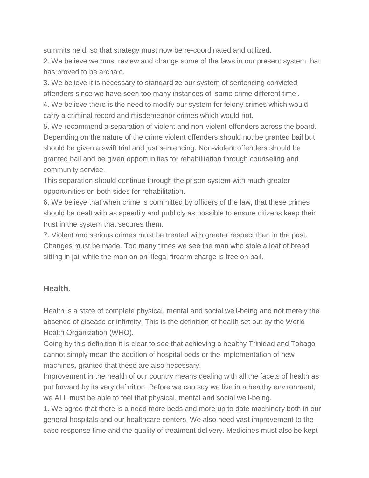summits held, so that strategy must now be re-coordinated and utilized.

2. We believe we must review and change some of the laws in our present system that has proved to be archaic.

3. We believe it is necessary to standardize our system of sentencing convicted offenders since we have seen too many instances of 'same crime different time'.

4. We believe there is the need to modify our system for felony crimes which would carry a criminal record and misdemeanor crimes which would not.

5. We recommend a separation of violent and non-violent offenders across the board. Depending on the nature of the crime violent offenders should not be granted bail but should be given a swift trial and just sentencing. Non-violent offenders should be granted bail and be given opportunities for rehabilitation through counseling and community service.

This separation should continue through the prison system with much greater opportunities on both sides for rehabilitation.

6. We believe that when crime is committed by officers of the law, that these crimes should be dealt with as speedily and publicly as possible to ensure citizens keep their trust in the system that secures them.

7. Violent and serious crimes must be treated with greater respect than in the past. Changes must be made. Too many times we see the man who stole a loaf of bread sitting in jail while the man on an illegal firearm charge is free on bail.

### **Health.**

Health is a state of complete physical, mental and social well-being and not merely the absence of disease or infirmity. This is the definition of health set out by the World Health Organization (WHO).

Going by this definition it is clear to see that achieving a healthy Trinidad and Tobago cannot simply mean the addition of hospital beds or the implementation of new machines, granted that these are also necessary.

Improvement in the health of our country means dealing with all the facets of health as put forward by its very definition. Before we can say we live in a healthy environment, we ALL must be able to feel that physical, mental and social well-being.

1. We agree that there is a need more beds and more up to date machinery both in our general hospitals and our healthcare centers. We also need vast improvement to the case response time and the quality of treatment delivery. Medicines must also be kept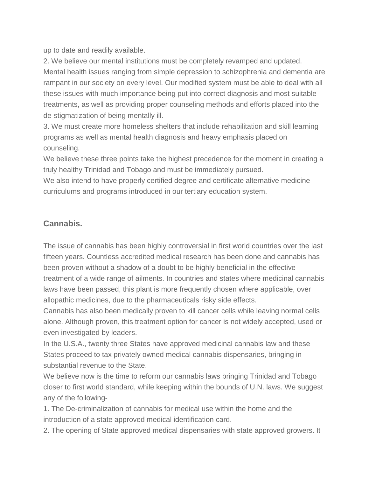up to date and readily available.

2. We believe our mental institutions must be completely revamped and updated. Mental health issues ranging from simple depression to schizophrenia and dementia are rampant in our society on every level. Our modified system must be able to deal with all these issues with much importance being put into correct diagnosis and most suitable treatments, as well as providing proper counseling methods and efforts placed into the de-stigmatization of being mentally ill.

3. We must create more homeless shelters that include rehabilitation and skill learning programs as well as mental health diagnosis and heavy emphasis placed on counseling.

We believe these three points take the highest precedence for the moment in creating a truly healthy Trinidad and Tobago and must be immediately pursued.

We also intend to have properly certified degree and certificate alternative medicine curriculums and programs introduced in our tertiary education system.

# **Cannabis.**

The issue of cannabis has been highly controversial in first world countries over the last fifteen years. Countless accredited medical research has been done and cannabis has been proven without a shadow of a doubt to be highly beneficial in the effective treatment of a wide range of ailments. In countries and states where medicinal cannabis laws have been passed, this plant is more frequently chosen where applicable, over allopathic medicines, due to the pharmaceuticals risky side effects.

Cannabis has also been medically proven to kill cancer cells while leaving normal cells alone. Although proven, this treatment option for cancer is not widely accepted, used or even investigated by leaders.

In the U.S.A., twenty three States have approved medicinal cannabis law and these States proceed to tax privately owned medical cannabis dispensaries, bringing in substantial revenue to the State.

We believe now is the time to reform our cannabis laws bringing Trinidad and Tobago closer to first world standard, while keeping within the bounds of U.N. laws. We suggest any of the following-

1. The De-criminalization of cannabis for medical use within the home and the introduction of a state approved medical identification card.

2. The opening of State approved medical dispensaries with state approved growers. It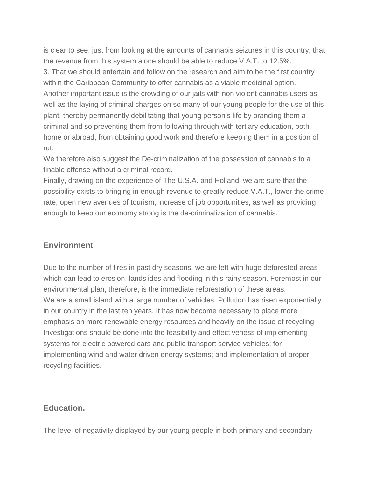is clear to see, just from looking at the amounts of cannabis seizures in this country, that the revenue from this system alone should be able to reduce V.A.T. to 12.5%. 3. That we should entertain and follow on the research and aim to be the first country within the Caribbean Community to offer cannabis as a viable medicinal option. Another important issue is the crowding of our jails with non violent cannabis users as well as the laying of criminal charges on so many of our young people for the use of this plant, thereby permanently debilitating that young person's life by branding them a criminal and so preventing them from following through with tertiary education, both home or abroad, from obtaining good work and therefore keeping them in a position of rut.

We therefore also suggest the De-criminalization of the possession of cannabis to a finable offense without a criminal record.

Finally, drawing on the experience of The U.S.A. and Holland, we are sure that the possibility exists to bringing in enough revenue to greatly reduce V.A.T., lower the crime rate, open new avenues of tourism, increase of job opportunities, as well as providing enough to keep our economy strong is the de-criminalization of cannabis.

### **Environment**.

Due to the number of fires in past dry seasons, we are left with huge deforested areas which can lead to erosion, landslides and flooding in this rainy season. Foremost in our environmental plan, therefore, is the immediate reforestation of these areas. We are a small island with a large number of vehicles. Pollution has risen exponentially in our country in the last ten years. It has now become necessary to place more emphasis on more renewable energy resources and heavily on the issue of recycling Investigations should be done into the feasibility and effectiveness of implementing systems for electric powered cars and public transport service vehicles; for implementing wind and water driven energy systems; and implementation of proper recycling facilities.

#### **Education.**

The level of negativity displayed by our young people in both primary and secondary